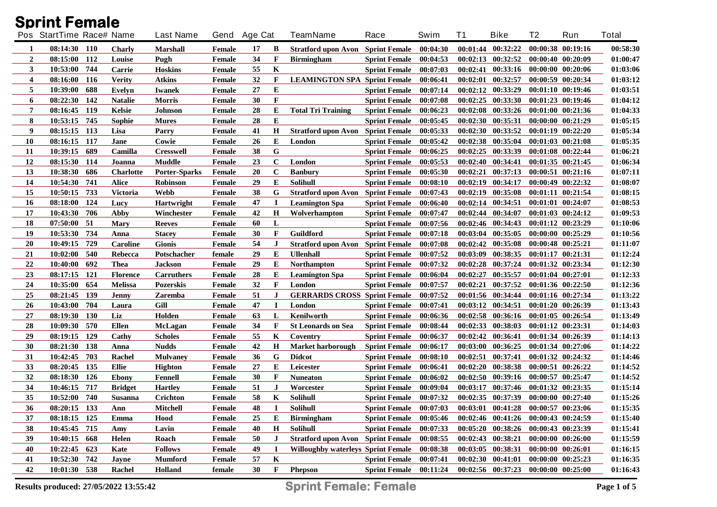|                  | <b>Sprint Female</b>     |                  |                      |               |    |              |                                           |                        |          |          |                                             |                       |                       |          |
|------------------|--------------------------|------------------|----------------------|---------------|----|--------------|-------------------------------------------|------------------------|----------|----------|---------------------------------------------|-----------------------|-----------------------|----------|
|                  | Pos StartTime Race# Name |                  | <b>Last Name</b>     | Gend Age Cat  |    |              | <b>TeamName</b>                           | Race                   | Swim     | T1       | <b>Bike</b>                                 | T2                    | Run                   | Total    |
| 1                | 08:14:30 110             | <b>Charly</b>    | <b>Marshall</b>      | Female        | 17 | B            | <b>Stratford upon Avon</b>                | <b>Sprint Female</b>   | 00:04:30 |          | $00:01:44$ $00:32:22$                       |                       | 00:00:38 00:19:16     | 00:58:30 |
| $\boldsymbol{2}$ | 08:15:00<br>112          | Louise           | Pugh                 | Female        | 34 | $\mathbf{F}$ | <b>Birmingham</b>                         | <b>Sprint Female</b>   | 00:04:53 |          | $00:02:13$ $00:32:52$                       |                       | 00:00:40 00:20:09     | 01:00:47 |
| 3                | 10:53:00<br>744          | <b>Carrie</b>    | <b>Hoskins</b>       | Female        | 55 | K            |                                           | <b>Sprint Female</b>   | 00:07:03 | 00:02:41 | 00:33:16                                    |                       | 00:00:00 00:20:06     | 01:03:06 |
| 4                | 116<br>08:16:00          | <b>Verity</b>    | <b>Atkins</b>        | Female        | 32 | F            | <b>LEAMINGTON SPA Sprint Female</b>       |                        | 00:06:41 | 00:02:01 | 00:32:57                                    | 00:00:59 00:20:34     |                       | 01:03:12 |
| 5                | 10:39:00<br>688          | Evelyn           | <b>Iwanek</b>        | Female        | 27 | E            |                                           | <b>Sprint Female</b>   | 00:07:14 |          | 00:02:12 00:33:29                           |                       | 00:01:10 00:19:46     | 01:03:51 |
| 6                | 08:22:30<br>142          | <b>Natalie</b>   | <b>Morris</b>        | <b>Female</b> | 30 | $\mathbf{F}$ |                                           | <b>Sprint Female</b>   | 00:07:08 |          | $00:02:25$ $00:33:30$                       |                       | 00:01:23 00:19:46     | 01:04:12 |
| 7                | 08:16:45<br>119          | <b>Kelsie</b>    | <b>Johnson</b>       | Female        | 28 | E            | <b>Total Tri Training</b>                 | <b>Sprint Female</b>   | 00:06:23 | 00:02:08 | 00:33:26                                    |                       | 00:01:00 00:21:36     | 01:04:33 |
| 8                | 10:53:15<br>745          | Sophie           | <b>Mures</b>         | Female        | 28 | E            |                                           | <b>Sprint Female</b>   | 00:05:45 | 00:02:30 | 00:35:31                                    |                       | 00:00:00 00:21:29     | 01:05:15 |
| 9                | 08:15:15<br>113          | Lisa             | Parry                | Female        | 41 | H            | <b>Stratford upon Avon</b>                | <b>Sprint Female</b>   | 00:05:33 | 00:02:30 | 00:33:52                                    |                       | $00:01:19$ $00:22:20$ | 01:05:34 |
| 10               | 08:16:15<br>117          | Jane             | Cowie                | <b>Female</b> | 26 | E            | London                                    | <b>Sprint Female</b>   | 00:05:42 | 00:02:38 | 00:35:04                                    |                       | 00:01:03 00:21:08     | 01:05:35 |
| 11               | 10:39:15<br>689          | Camilla          | <b>Cresswell</b>     | Female        | 38 | G            |                                           | <b>Sprint Female</b>   | 00:06:25 | 00:02:25 | 00:33:39                                    |                       | 00:01:08 00:22:44     | 01:06:21 |
| 12               | 08:15:30<br>114          | Joanna           | <b>Muddle</b>        | <b>Female</b> | 23 | $\mathbf C$  | London                                    | <b>Sprint Female</b>   | 00:05:53 | 00:02:40 | 00:34:41                                    |                       | 00:01:35 00:21:45     | 01:06:34 |
| 13               | 10:38:30<br>686          | <b>Charlotte</b> | <b>Porter-Sparks</b> | Female        | 20 | $\mathbf C$  | <b>Banbury</b>                            | <b>Sprint Female</b>   | 00:05:30 | 00:02:21 | 00:37:13                                    |                       | 00:00:51 00:21:16     | 01:07:11 |
| 14               | 10:54:30<br>741          | <b>Alice</b>     | <b>Robinson</b>      | Female        | 29 | E            | <b>Solihull</b>                           | <b>Sprint Female</b>   | 00:08:10 | 00:02:19 | 00:34:17                                    |                       | 00:00:49 00:22:32     | 01:08:07 |
| 15               | 733<br>10:50:15          | <b>Victoria</b>  | <b>Webb</b>          | Female        | 38 | G            | <b>Stratford upon Avon</b>                | <b>Sprint Female</b>   | 00:07:43 | 00:02:19 | 00:35:08                                    | 00:01:11 00:21:54     |                       | 01:08:15 |
| <b>16</b>        | 08:18:00<br>124          | Lucy             | <b>Hartwright</b>    | Female        | 47 | I            | <b>Leamington Spa</b>                     | <b>Sprint Female</b>   | 00:06:40 |          | 00:02:14 00:34:51                           | 00:01:01 00:24:07     |                       | 01:08:53 |
| 17               | 10:43:30<br>706          | Abby             | Winchester           | Female        | 42 | H            | Wolverhampton                             | <b>Sprint Female</b>   | 00:07:47 |          | 00:02:44 00:34:07                           |                       | 00:01:03 00:24:12     | 01:09:53 |
| 18               | 07:50:00<br>- 51         | <b>Mary</b>      | <b>Reeves</b>        | <b>Female</b> | 60 | L            |                                           | <b>Sprint Female</b>   | 00:07:56 |          | 00:02:46 00:34:43                           |                       | 00:01:12 00:23:29     | 01:10:06 |
| 19               | 734<br>10:53:30          | Anna             | <b>Stacey</b>        | <b>Female</b> | 30 | $\mathbf{F}$ | Guildford                                 | <b>Sprint Female</b>   | 00:07:18 | 00:03:04 | 00:35:05                                    |                       | 00:00:00 00:25:29     | 01:10:56 |
| <b>20</b>        | 729<br>10:49:15          | <b>Caroline</b>  | <b>Gionis</b>        | <b>Female</b> | 54 | $\bf J$      | <b>Stratford upon Avon</b>                | <b>Sprint Female</b>   | 00:07:08 | 00:02:42 | 00:35:08                                    | 00:00:48 00:25:21     |                       | 01:11:07 |
| 21               | 540<br>10:02:00          | Rebecca          | Potschacher          | female        | 29 | E            | <b>Ullenhall</b>                          | <b>Sprint Female</b>   | 00:07:52 | 00:03:09 | 00:38:35                                    | 00:01:17 00:21:31     |                       | 01:12:24 |
| 22               | 692<br>10:40:00          | Thea             | <b>Jackson</b>       | Female        | 29 | Е            | <b>Northampton</b>                        | <b>Sprint Female</b>   | 00:07:32 | 00:02:28 | 00:37:24                                    |                       | 00:01:32 00:23:34     | 01:12:30 |
| 23               | 08:17:15<br>121          | <b>Florence</b>  | Carruthers           | Female        | 28 | E            | <b>Leamington Spa</b>                     | <b>Sprint Female</b>   | 00:06:04 | 00:02:27 | 00:35:57                                    | 00:01:04 00:27:01     |                       | 01:12:33 |
| 24               | 654<br>10:35:00          | <b>Melissa</b>   | <b>Pozerskis</b>     | Female        | 32 | $\mathbf{F}$ | London                                    | <b>Sprint Female</b>   | 00:07:57 | 00:02:21 | 00:37:52                                    |                       | 00:01:36 00:22:50     | 01:12:36 |
| 25               | 08:21:45<br>139          | Jenny            | <b>Zaremba</b>       | Female        | 51 | J            | <b>GERRARDS CROSS Sprint Female</b>       |                        | 00:07:52 |          | 00:01:56 00:34:44                           |                       | 00:01:16 00:27:34     | 01:13:22 |
| 26               | 704<br>10:43:00          | Laura            | Gill                 | <b>Female</b> | 47 | I            | London                                    | <b>Sprint Female</b>   | 00:07:41 |          | 00:03:12 00:34:51                           | 00:01:20 00:26:39     |                       | 01:13:43 |
| 27               | 08:19:30<br><b>130</b>   | Liz              | Holden               | Female        | 63 | L            | Kenilworth                                | <b>Sprint Female</b>   | 00:06:36 |          | $00:02:58$ $00:36:16$                       | $00:01:05$ $00:26:54$ |                       | 01:13:49 |
| 28               | 570<br>10:09:30          | <b>Ellen</b>     | <b>McLagan</b>       | Female        | 34 | F            | <b>St Leonards on Sea</b>                 | <b>Sprint Female</b>   | 00:08:44 |          | $00:02:33$ $00:38:03$                       | 00:01:12 00:23:31     |                       | 01:14:03 |
| 29               | 129<br>08:19:15          | Cathy            | <b>Scholes</b>       | Female        | 55 | K            | Coventry                                  | <b>Sprint Female</b>   | 00:06:37 |          | $00:02:42$ $00:36:41$                       |                       | 00:01:34 00:26:39     | 01:14:13 |
| 30               | 08:21:30<br>138          | Anna             | <b>Nudds</b>         | Female        | 42 | $\bf H$      | <b>Market harborough</b>                  | <b>Sprint Female</b>   | 00:06:17 | 00:03:00 | 00:36:25                                    |                       | 00:01:34 00:27:06     | 01:14:22 |
| 31               | 10:42:45<br>703          | Rachel           | <b>Mulvaney</b>      | <b>Female</b> | 36 | G            | <b>Didcot</b>                             | <b>Sprint Female</b>   | 00:08:10 | 00:02:51 | 00:37:41                                    |                       | $00:01:32$ $00:24:32$ | 01:14:46 |
| 33               | 135<br>08:20:45          | <b>Ellie</b>     | <b>Highton</b>       | Female        | 27 | Е            | Leicester                                 | <b>Sprint Female</b>   | 00:06:41 | 00:02:20 | 00:38:38                                    | $00:00:51$ $00:26:22$ |                       | 01:14:52 |
| 32               | 08:18:30<br>126          | <b>Ebony</b>     | Fennell              | Female        | 30 | F            | <b>Nuneaton</b>                           | <b>Sprint Female</b>   | 00:06:02 | 00:02:50 | 00:39:16                                    | $00:00:57$ $00:25:47$ |                       | 01:14:52 |
| 34               | 717<br>10:46:15          | <b>Bridget</b>   | <b>Hartley</b>       | Female        | 51 | $\bf J$      | Worcester                                 | <b>Sprint Female</b>   | 00:09:04 |          | 00:03:17 00:37:46 00:01:32 00:23:35         |                       |                       | 01:15:14 |
| 35               | 10:52:00 740             | <b>Susanna</b>   | Crichton             | Female        | 58 | $\mathbf K$  | Solihull                                  | <b>Sprint Female</b>   | 00:07:32 |          | 00:02:35 00:37:39 00:00:00 00:27:40         |                       |                       | 01:15:26 |
| 36               | $08:20:15$ 133           | Ann              | Mitchell             | Female        | 48 | П            | Solihull                                  | Sprint Female 00:07:03 |          |          | $00:03:01$ $00:41:28$ $00:00:57$ $00:23:06$ |                       |                       | 01:15:35 |
| 37               | 08:18:15 125             | Emma             | Hood                 | Female        | 25 | Е            | <b>Birmingham</b>                         | <b>Sprint Female</b>   | 00:05:46 |          | $00:02:46$ $00:41:26$ $00:00:43$ $00:24:59$ |                       |                       | 01:15:40 |
| 38               | 10:45:45 715             | Amy              | Lavin                | Female        | 40 | H            | Solihull                                  | <b>Sprint Female</b>   | 00:07:33 |          | 00:05:20 00:38:26 00:00:43 00:23:39         |                       |                       | 01:15:41 |
| 39               | 10:40:15 668             | Helen            | Roach                | Female        | 50 | J            | <b>Stratford upon Avon</b> Sprint Female  |                        | 00:08:55 |          | $00:02:43$ $00:38:21$ $00:00:00$ $00:26:00$ |                       |                       | 01:15:59 |
| 40               | 10:22:45 623             | Kate             | <b>Follows</b>       | Female        | 49 | $\bf I$      | <b>Willoughby waterleys Sprint Female</b> |                        | 00:08:38 |          | $00:03:05$ $00:38:31$ $00:00:00$ $00:26:01$ |                       |                       | 01:16:15 |
| 41               | 10:52:30 742             | Jayne            | <b>Mumford</b>       | Female        | 57 | K            |                                           | <b>Sprint Female</b>   | 00:07:41 |          | 00:02:30 00:41:01 00:00:00 00:25:23         |                       |                       | 01:16:35 |
| 42               | 10:01:30 538             | Rachel           | Holland              | female        | 30 | F            | Phepson                                   | Sprint Female 00:11:24 |          |          | 00:02:56 00:37:23 00:00:00 00:25:00         |                       |                       | 01:16:43 |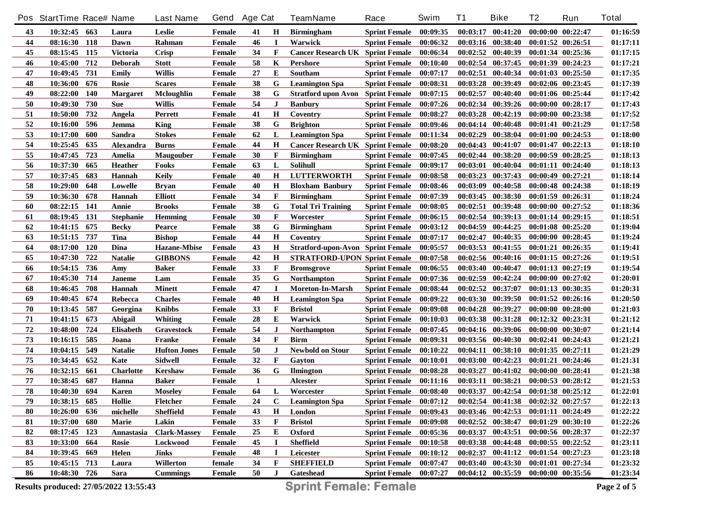|            | Pos StartTime Race# Name |            |                  | <b>Last Name</b>    | Gend          | <b>Age Cat</b> |                | <b>TeamName</b>                           | Race                   | Swim     | <b>T1</b> | <b>Bike</b>                         | T <sub>2</sub>        | Run               | <b>Total</b> |
|------------|--------------------------|------------|------------------|---------------------|---------------|----------------|----------------|-------------------------------------------|------------------------|----------|-----------|-------------------------------------|-----------------------|-------------------|--------------|
| 43         | 10:32:45 663             |            | Laura            | Leslie              | Female        | 41             | Н              | <b>Birmingham</b>                         | <b>Sprint Female</b>   | 00:09:35 |           | $00:03:17$ $00:41:20$               | 00:00:00 00:22:47     |                   | 01:16:59     |
| 44         | 08:16:30                 | <b>118</b> | Dawn             | Rahman              | Female        | 46             | $\blacksquare$ | Warwick                                   | <b>Sprint Female</b>   | 00:06:32 |           | $00:03:16$ $00:38:40$               | $00:01:52$ $00:26:51$ |                   | 01:17:11     |
| 45         | 08:15:45                 | 115        | <b>Victoria</b>  | <b>Crisp</b>        | Female        | 34             | $\mathbf{F}$   | Cancer Research UK Sprint Female 00:06:34 |                        |          |           | $00:02:52$ $00:40:39$               | 00:01:34 00:25:36     |                   | 01:17:15     |
| 46         | 10:45:00                 | 712        | <b>Deborah</b>   | <b>Stott</b>        | Female        | 58             | K              | Pershore                                  | <b>Sprint Female</b>   | 00:10:40 |           | $00:02:54$ $00:37:45$               | 00:01:39 00:24:23     |                   | 01:17:21     |
| 47         | 10:49:45                 | 731        | <b>Emily</b>     | <b>Willis</b>       | Female        | 27             | E              | Southam                                   | <b>Sprint Female</b>   | 00:07:17 |           | $00:02:51$ $00:40:34$               | $00:01:03$ $00:25:50$ |                   | 01:17:35     |
| 48         | 10:36:00                 | 676        | Rosie            | <b>Scares</b>       | Female        | 38             | G              | <b>Leamington Spa</b>                     | <b>Sprint Female</b>   | 00:08:31 |           | 00:03:28 00:39:49                   | 00:02:06 00:23:45     |                   | 01:17:39     |
| 49         | 08:22:00                 | <b>140</b> | <b>Margaret</b>  | Mcloughlin          | Female        | 38             | G              | <b>Stratford upon Avon</b> Sprint Female  |                        | 00:07:15 | 00:02:57  | 00:40:40                            | 00:01:06 00:25:44     |                   | 01:17:42     |
| 50         | 10:49:30                 | 730        | <b>Sue</b>       | <b>Willis</b>       | Female        | 54             | $\bf J$        | <b>Banbury</b>                            | <b>Sprint Female</b>   | 00:07:26 |           | $00:02:34$ $00:39:26$               | $00:00:00$ $00:28:17$ |                   | 01:17:43     |
| 51         | 10:50:00                 | 732        | Angela           | Perrett             | Female        | 41             | H              | Coventry                                  | <b>Sprint Female</b>   | 00:08:27 |           | $00:03:28$ $00:42:19$               | 00:00:00 00:23:38     |                   | 01:17:52     |
| 52         | 10:16:00                 | 596        | Jemma            | <b>King</b>         | Female        | 38             | G              | <b>Brighton</b>                           | <b>Sprint Female</b>   | 00:09:46 |           | $00:04:14$ $00:40:48$               | 00:01:41 00:21:29     |                   | 01:17:58     |
| 53         | 10:17:00                 | 600        | Sandra           | <b>Stokes</b>       | Female        | 62             | L              | <b>Leamington Spa</b>                     | <b>Sprint Female</b>   | 00:11:34 |           | 00:02:29 00:38:04                   | $00:01:00$ $00:24:53$ |                   | 01:18:00     |
| 54         | 10:25:45                 | 635        | Alexandra        | <b>Burns</b>        | Female        | 44             | H              | <b>Cancer Research UK Sprint Female</b>   |                        | 00:08:20 |           | 00:04:43 00:41:07                   | 00:01:47 00:22:13     |                   | 01:18:10     |
| 55         | 10:47:45                 | 723        | Amelia           | <b>Maugouber</b>    | Female        | 30             | F              | <b>Birmingham</b>                         | <b>Sprint Female</b>   | 00:07:45 |           | $00:02:44$ $00:38:20$               | 00:00:59 00:28:25     |                   | 01:18:13     |
| 56         | 10:37:30                 | 665        | <b>Heather</b>   | Fooks               | Female        | 63             | L              | <b>Solihull</b>                           | <b>Sprint Female</b>   | 00:09:17 |           | $00:03:01$ $00:40:04$               | 00:01:11 00:24:40     |                   | 01:18:13     |
| 57         | 10:37:45                 | 683        | Hannah           | <b>Keily</b>        | Female        | 40             | H              | <b>LUTTERWORTH</b>                        | <b>Sprint Female</b>   | 00:08:58 |           | $00:03:23$ $00:37:43$               | 00:00:49 00:27:21     |                   | 01:18:14     |
| 58         | 10:29:00                 | 648        | Lowelle          | <b>Bryan</b>        | Female        | 40             | H              | <b>Bloxham Banbury</b>                    | <b>Sprint Female</b>   | 00:08:46 | 00:03:09  | 00:40:58                            | 00:00:48 00:24:38     |                   | 01:18:19     |
| 59         | 10:36:30                 | 678        | Hannah           | <b>Elliott</b>      | Female        | 34             | F              | <b>Birmingham</b>                         | <b>Sprint Female</b>   | 00:07:39 |           | $00:03:45$ $00:38:30$               | 00:01:59 00:26:31     |                   | 01:18:24     |
| 60         | 08:22:15                 | 141        | Annie            | <b>Brooks</b>       | Female        | 38             | G              | <b>Total Tri Training</b>                 | <b>Sprint Female</b>   | 00:08:05 | 00:02:51  | 00:39:48                            | $00:00:00$ $00:27:52$ |                   | 01:18:36     |
| 61         | 08:19:45                 | 131        | <b>Stephanie</b> | Hemming             | Female        | 30             | $\mathbf{F}$   | Worcester                                 | <b>Sprint Female</b>   | 00:06:15 |           | 00:02:54 00:39:13                   | $00:01:14$ $00:29:15$ |                   | 01:18:51     |
| 62         | 10:41:15                 | 675        | <b>Becky</b>     | Pearce              | Female        | 38             | G              | <b>Birmingham</b>                         | <b>Sprint Female</b>   | 00:03:12 | 00:04:59  | 00:44:25                            | $00:01:08$ $00:25:20$ |                   | 01:19:04     |
| 63         | 10:51:15                 | 737        | Tina             | <b>Bishop</b>       | Female        | 44             | H              | Coventry                                  | <b>Sprint Female</b>   | 00:07:17 | 00:02:47  | 00:40:35                            | 00:00:00 00:28:45     |                   | 01:19:24     |
| 64         | 08:17:00                 | <b>120</b> | Dina             | <b>Hazane-Mbise</b> | Female        | 43             | $\mathbf H$    | <b>Stratford-upon-Avon Sprint Female</b>  |                        | 00:05:57 |           | 00:03:53 00:41:55                   | $00:01:21$ $00:26:35$ |                   | 01:19:41     |
| 65         | 10:47:30                 | 722        | <b>Natalie</b>   | <b>GIBBONS</b>      | Female        | 42             | $\mathbf H$    | <b>STRATFORD-UPON Sprint Female</b>       |                        | 00:07:58 |           | 00:02:56 00:40:16                   | 00:01:15 00:27:26     |                   | 01:19:51     |
| 66         | 10:54:15                 | 736        | Amy              | <b>Baker</b>        | Female        | 33             | $\mathbf{F}$   | <b>Bromsgrove</b>                         | <b>Sprint Female</b>   | 00:06:55 |           | $00:03:40$ $00:40:47$               | 00:01:13 00:27:19     |                   | 01:19:54     |
| 67         | 10:45:30                 | 714        | <b>Janeme</b>    | Lam                 | Female        | 35             | G              | Northampton                               | <b>Sprint Female</b>   | 00:07:36 |           | 00:02:59 00:42:24                   | 00:00:00 00:27:02     |                   | 01:20:01     |
| 68         | 10:46:45                 | 708        | Hannah           | <b>Minett</b>       | <b>Female</b> | 47             | $\bf{I}$       | <b>Moreton-In-Marsh</b>                   | <b>Sprint Female</b>   | 00:08:44 |           | 00:02:52 00:37:07                   | 00:01:13 00:30:35     |                   | 01:20:31     |
| 69         | 10:40:45                 | 674        | Rebecca          | <b>Charles</b>      | Female        | 40             | $\mathbf H$    | <b>Leamington Spa</b>                     | <b>Sprint Female</b>   | 00:09:22 |           | 00:03:30 00:39:50                   | 00:01:52 00:26:16     |                   | 01:20:50     |
| 70         | 10:13:45                 | 587        | Georgina         | <b>Knibbs</b>       | Female        | 33             | $\mathbf{F}$   | <b>Bristol</b>                            | <b>Sprint Female</b>   | 00:09:08 |           | 00:04:28 00:39:27                   | 00:00:00 00:28:00     |                   | 01:21:03     |
| 71         | 10:41:15                 | 673        | Abigail          | Whiting             | Female        | 28             | Е              | Warwick                                   | <b>Sprint Female</b>   | 00:10:03 |           | 00:03:38 00:31:28                   | 00:12:32 00:23:31     |                   | 01:21:12     |
| $72\,$     | 10:48:00                 | 724        | <b>Elisabeth</b> | Gravestock          | Female        | 54             | J              | Northampton                               | <b>Sprint Female</b>   | 00:07:45 |           | 00:04:16 00:39:06                   | 00:00:00 00:30:07     |                   | 01:21:14     |
| 73         | 10:16:15                 | 585        | Joana            | Franke              | Female        | 34             | $\mathbf{F}$   | <b>Birm</b>                               | <b>Sprint Female</b>   | 00:09:31 |           | 00:03:56 00:40:30                   | 00:02:41 00:24:43     |                   | 01:21:21     |
| 74         | 10:04:15                 | 549        | <b>Natalie</b>   | <b>Hufton Jones</b> | Female        | 50             | $\bf J$        | <b>Newbold on Stour</b>                   | <b>Sprint Female</b>   | 00:10:22 | 00:04:11  | 00:38:10                            | 00:01:35 00:27:11     |                   | 01:21:29     |
| 75         | 10:34:45                 | 652        | Kate             | <b>Sidwell</b>      | Female        | 32             | $\mathbf{F}$   | Gayton                                    | <b>Sprint Female</b>   | 00:10:01 |           | 00:03:00 00:42:23                   | 00:01:21 00:24:46     |                   | 01:21:31     |
| 76         | 10:32:15                 | 661        | <b>Charlotte</b> | Kershaw             | Female        | 36             | G              | <b>Ilmington</b>                          | <b>Sprint Female</b>   | 00:08:28 | 00:03:27  | 00:41:02                            |                       | 00:00:00 00:28:41 | 01:21:38     |
| ${\bf 77}$ | 10:38:45                 | 687        | Hanna            | <b>Baker</b>        | Female        | 1              |                | Alcester                                  | <b>Sprint Female</b>   | 00:11:16 |           | 00:03:11 00:38:21                   |                       | 00:00:53 00:28:12 | 01:21:53     |
| 78         | 10:40:30                 | 694        | Karen            | <b>Moseley</b>      | Female        | 64             | L              | Worcester                                 | <b>Sprint Female</b>   | 00:08:40 |           | 00:03:37 00:42:54                   | 00:01:38 00:25:12     |                   | 01:22:01     |
| 79         | 10:38:15 685             |            | Hollie           | Fletcher            | Female        | 24             | $\mathbf C$    | <b>Leamington Spa</b>                     | <b>Sprint Female</b>   | 00:07:12 |           | 00:02:54 00:41:38 00:02:32 00:27:57 |                       |                   | 01:22:13     |
| 80         | 10:26:00                 | 636        | michelle         | <b>Sheffield</b>    | Female        | 43             | Η              | London                                    | <b>Sprint Female</b>   | 00:09:43 |           | $00:03:46$ $00:42:53$               | 00:01:11 00:24:49     |                   | 01:22:22     |
| 81         | 10:37:00                 | 680        | Marie            | Lakin               | Female        | 33             | F              | <b>Bristol</b>                            | <b>Sprint Female</b>   | 00:09:08 |           | $00:02:52$ $00:38:47$               | 00:01:29 00:30:10     |                   | 01:22:26     |
| 82         | 08:17:45 123             |            | Annastasia       | <b>Clark-Massey</b> | Female        | 25             | E              | Oxford                                    | <b>Sprint Female</b>   | 00:05:36 |           | $00:03:37$ $00:43:51$               | 00:00:56 00:28:37     |                   | 01:22:37     |
| 83         | 10:33:00                 | -664       | Rosie            | Lockwood            | Female        | 45             |                | <b>Sheffield</b>                          | <b>Sprint Female</b>   | 00:10:58 |           | $00:03:38$ $00:44:48$               | $00:00:55$ $00:22:52$ |                   | 01:23:11     |
| 84         | 10:39:45                 | 669        | Helen            | <b>Jinks</b>        | Female        | 48             |                | Leicester                                 | <b>Sprint Female</b>   | 00:10:12 |           | $00:02:37$ $00:41:12$               | $00:01:54$ $00:27:23$ |                   | 01:23:18     |
| 85         | $10:45:15$ 713           |            | Laura            | Willerton           | female        | 34             | F              | <b>SHEFFIELD</b>                          | <b>Sprint Female</b>   | 00:07:47 |           | $00:03:40$ $00:43:30$               | 00:01:01 00:27:34     |                   | 01:23:32     |
| 86         | 10:48:30 726             |            | Sara             | <b>Cummings</b>     | Female        | 50             | $\bf J$        | Gateshead                                 | Sprint Female 00:07:27 |          |           | $00:04:12$ $00:35:59$               | 00:00:00 00:35:56     |                   | 01:23:34     |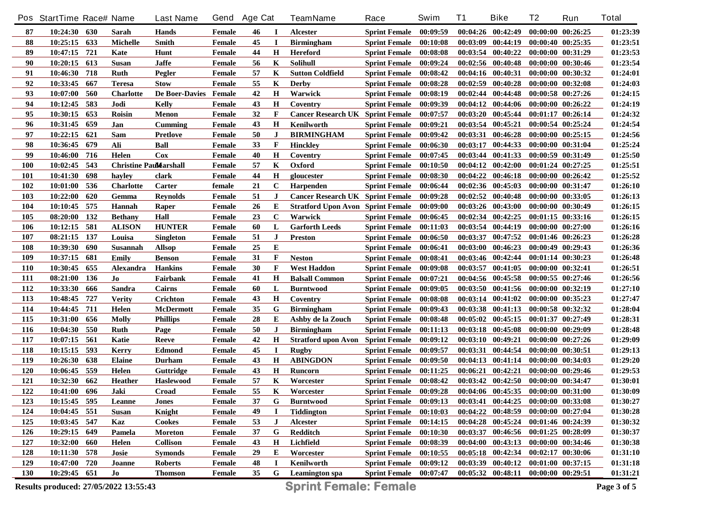|            | Pos StartTime Race# Name              |      |                                | <b>Last Name</b>      | Gend   | <b>Age Cat</b> |             | <b>TeamName</b>                          | Race                   | Swim     | <b>T1</b> | <b>Bike</b>                         | T <sub>2</sub>        | Run                   | <b>Total</b> |
|------------|---------------------------------------|------|--------------------------------|-----------------------|--------|----------------|-------------|------------------------------------------|------------------------|----------|-----------|-------------------------------------|-----------------------|-----------------------|--------------|
| 87         | 10:24:30 630                          |      | Sarah                          | Hands                 | Female | 46             | $\bf{I}$    | <b>Alcester</b>                          | <b>Sprint Female</b>   | 00:09:59 |           | $00:04:26$ $00:42:49$               | $00:00:00$ $00:26:25$ |                       | 01:23:39     |
| 88         | 10:25:15                              | 633  | <b>Michelle</b>                | <b>Smith</b>          | Female | 45             | $\mathbf I$ | <b>Birmingham</b>                        | <b>Sprint Female</b>   | 00:10:08 |           | $00:03:09$ $00:44:19$               | 00:00:40 00:25:35     |                       | 01:23:51     |
| 89         | 10:47:15                              | 721  | Kate                           | Hunt                  | Female | 44             | Н           | <b>Hereford</b>                          | <b>Sprint Female</b>   | 00:08:08 |           | $00:03:54$ $00:40:22$               | 00:00:00 00:31:29     |                       | 01:23:53     |
| 90         | 10:20:15                              | 613  | <b>Susan</b>                   | <b>Jaffe</b>          | Female | 56             | K           | Solihull                                 | <b>Sprint Female</b>   | 00:09:24 |           | $00:02:56$ $00:40:48$               | 00:00:00 00:30:46     |                       | 01:23:54     |
| 91         | 10:46:30                              | 718  | <b>Ruth</b>                    | Pegler                | Female | 57             | K           | <b>Sutton Coldfield</b>                  | <b>Sprint Female</b>   | 00:08:42 |           | $00:04:16$ $00:40:31$               | 00:00:00 00:30:32     |                       | 01:24:01     |
| 92         | 10:33:45                              | 667  | <b>Teresa</b>                  | <b>Stow</b>           | Female | 55             | K           | <b>Derby</b>                             | <b>Sprint Female</b>   | 00:08:28 |           | $00:02:59$ $00:40:28$               | 00:00:00 00:32:08     |                       | 01:24:03     |
| 93         | 10:07:00                              | 560  | <b>Charlotte</b>               | De Boer-Davies Female |        | 42             | $\bf H$     | Warwick                                  | <b>Sprint Female</b>   | 00:08:19 |           | $00:02:44$ $00:44:48$               |                       | $00:00:58$ $00:27:26$ | 01:24:15     |
| 94         | 10:12:45                              | 583  | Jodi                           | Kelly                 | Female | 43             | Н           | Coventry                                 | <b>Sprint Female</b>   | 00:09:39 |           | $00:04:12$ $00:44:06$               | $00:00:00$ $00:26:22$ |                       | 01:24:19     |
| 95         | 10:30:15                              | 653  | <b>Roisin</b>                  | Menon                 | Female | 32             | F           | <b>Cancer Research UK Sprint Female</b>  |                        | 00:07:57 |           | $00:03:20$ $00:45:44$               | $00:01:17$ $00:26:14$ |                       | 01:24:32     |
| 96         | 10:31:45                              | 659  | Jan                            | Cumming               | Female | 43             | $\bf H$     | Kenilworth                               | <b>Sprint Female</b>   | 00:09:21 |           | $00:03:54$ $00:45:21$               | 00:00:54 00:25:24     |                       | 01:24:54     |
| 97         | 10:22:15                              | 621  | Sam                            | <b>Pretlove</b>       | Female | 50             | J           | <b>BIRMINGHAM</b>                        | <b>Sprint Female</b>   | 00:09:42 |           | 00:03:31 00:46:28                   | $00:00:00$ $00:25:15$ |                       | 01:24:56     |
| 98         | 10:36:45                              | 679  | Ali                            | <b>Ball</b>           | Female | 33             | F           | <b>Hinckley</b>                          | <b>Sprint Female</b>   | 00:06:30 | 00:03:17  | 00:44:33                            | 00:00:00 00:31:04     |                       | 01:25:24     |
| 99         | 10:46:00                              | 716  | Helen                          | Cox                   | Female | 40             | Н           | Coventry                                 | <b>Sprint Female</b>   | 00:07:45 |           | $00:03:44$ $00:41:33$               | 00:00:59 00:31:49     |                       | 01:25:50     |
| <b>100</b> | 10:02:45                              | 543  | <b>Christine Paul Larshall</b> |                       | Female | 57             | K           | Oxford                                   | <b>Sprint Female</b>   | 00:10:50 |           | $00:04:12$ $00:42:00$               | 00:01:24 00:27:25     |                       | 01:25:51     |
| <b>101</b> | 10:41:30                              | 698  | hayley                         | clark                 | Female | 44             | Н           | gloucester                               | <b>Sprint Female</b>   | 00:08:30 |           | $00:04:22$ $00:46:18$               | $00:00:00$ $00:26:42$ |                       | 01:25:52     |
| 102        | 10:01:00                              | 536  | <b>Charlotte</b>               | Carter                | female | 21             | $\mathbf C$ | Harpenden                                | <b>Sprint Female</b>   | 00:06:44 |           | $00:02:36$ $00:45:03$               | 00:00:00 00:31:47     |                       | 01:26:10     |
| 103        | 10:22:00                              | 620  | Gemma                          | <b>Revnolds</b>       | Female | 51             | $\bf J$     | <b>Cancer Research UK Sprint Female</b>  |                        | 00:09:28 |           | $00:02:52$ $00:40:48$               | 00:00:00 00:33:05     |                       | 01:26:13     |
| 104        | 10:10:45                              | 575  | <b>Hannah</b>                  | Raper                 | Female | 26             | Е           | <b>Stratford Upon Avon Sprint Female</b> |                        | 00:09:00 |           | $00:03:26$ $00:43:00$               | 00:00:00 00:30:49     |                       | 01:26:15     |
| 105        | 08:20:00                              | 132  | <b>Bethany</b>                 | Hall                  | Female | 23             | $\mathbf C$ | Warwick                                  | <b>Sprint Female</b>   | 00:06:45 |           | 00:02:34 00:42:25                   |                       | 00:01:15 00:33:16     | 01:26:15     |
| 106        | 10:12:15                              | 581  | <b>ALISON</b>                  | <b>HUNTER</b>         | Female | 60             | L           | <b>Garforth Leeds</b>                    | <b>Sprint Female</b>   | 00:11:03 |           | 00:03:54 00:44:19                   | 00:00:00 00:27:00     |                       | 01:26:16     |
| 107        | 08:21:15                              | 137  | Louisa                         | Singleton             | Female | 51             | $\bf J$     | <b>Preston</b>                           | <b>Sprint Female</b>   | 00:06:50 | 00:03:37  | 00:47:52                            | 00:01:46 00:26:23     |                       | 01:26:28     |
| 108        | 10:39:30                              | 690  | Susannah                       | <b>Allsop</b>         | Female | 25             | ${\bf E}$   |                                          | <b>Sprint Female</b>   | 00:06:41 | 00:03:00  | 00:46:23                            | 00:00:49 00:29:43     |                       | 01:26:36     |
| 109        | 10:37:15                              | 681  | Emily                          | <b>Benson</b>         | Female | 31             | F           | <b>Neston</b>                            | <b>Sprint Female</b>   | 00:08:41 |           | 00:03:46 00:42:44                   | 00:01:14 00:30:23     |                       | 01:26:48     |
| <b>110</b> | 10:30:45                              | 655  | <b>Alexandra</b>               | <b>Hankins</b>        | Female | 30             | F           | <b>West Haddon</b>                       | <b>Sprint Female</b>   | 00:09:08 | 00:03:57  | 00:41:05                            | 00:00:00 00:32:41     |                       | 01:26:51     |
| <b>111</b> | 08:21:00                              | 136  | Jo                             | Fairbank              | Female | 41             | $\bf H$     | <b>Balsall Common</b>                    | <b>Sprint Female</b>   | 00:07:21 |           | 00:04:56 00:45:58                   | 00:00:55 00:27:46     |                       | 01:26:56     |
| 112        | 10:33:30                              | 666  | <b>Sandra</b>                  | Cairns                | Female | 60             | L           | <b>Burntwood</b>                         | <b>Sprint Female</b>   | 00:09:05 |           | 00:03:50 00:41:56                   | 00:00:00 00:32:19     |                       | 01:27:10     |
| 113        | 10:48:45                              | 727  | <b>Verity</b>                  | Crichton              | Female | 43             | $\mathbf H$ | Coventry                                 | <b>Sprint Female</b>   | 00:08:08 |           | 00:03:14 00:41:02                   | 00:00:00 00:35:23     |                       | 01:27:47     |
| 114        | 10:44:45                              | 711  | Helen                          | <b>McDermott</b>      | Female | 35             | G           | <b>Birmingham</b>                        | <b>Sprint Female</b>   | 00:09:43 |           | $00:03:38$ $00:41:13$               | 00:00:58 00:32:32     |                       | 01:28:04     |
| 115        | 10:31:00                              | 656  | <b>Molly</b>                   | <b>Phillips</b>       | Female | 28             | Е           | Ashby de la Zouch                        | <b>Sprint Female</b>   | 00:08:48 |           | $00:05:02$ $00:45:15$               | 00:01:37 00:27:49     |                       | 01:28:31     |
| 116        | 10:04:30                              | 550  | <b>Ruth</b>                    | Page                  | Female | 50             | J           | <b>Birmingham</b>                        | <b>Sprint Female</b>   | 00:11:13 |           | $00:03:18$ $00:45:08$               | 00:00:00 00:29:09     |                       | 01:28:48     |
| 117        | 10:07:15                              | 561  | Katie                          | Reeve                 | Female | 42             | $\bf H$     | <b>Stratford upon Avon</b> Sprint Female |                        | 00:09:12 |           | $00:03:10$ $00:49:21$               |                       | 00:00:00 00:27:26     | 01:29:09     |
| 118        | 10:15:15                              | 593  | <b>Kerry</b>                   | <b>Edmond</b>         | Female | 45             | $\bf{I}$    | <b>Rugby</b>                             | <b>Sprint Female</b>   | 00:09:57 | 00:03:31  | 00:44:54                            | 00:00:00 00:30:51     |                       | 01:29:13     |
| 119        | 10:26:30                              | 638  | <b>Elaine</b>                  | Durham                | Female | 43             | $\bf H$     | <b>ABINGDON</b>                          | <b>Sprint Female</b>   | 00:09:50 |           | $00:04:13$ $00:41:14$               | 00:00:00 00:34:03     |                       | 01:29:20     |
| <b>120</b> | 10:06:45                              | 559  | Helen                          | Guttridge             | Female | 43             | Н           | Runcorn                                  | <b>Sprint Female</b>   | 00:11:25 | 00:06:21  | 00:42:21                            |                       | 00:00:00 00:29:46     | 01:29:53     |
| 121        | 10:32:30                              | 662  | <b>Heather</b>                 | <b>Haslewood</b>      | Female | 57             | K           | Worcester                                | <b>Sprint Female</b>   | 00:08:42 |           | $00:03:42$ $00:42:50$               | 00:00:00 00:34:47     |                       | 01:30:01     |
| 122        | 10:41:00                              | 696  | Jaki                           | Croad                 | Female | 55             | K           | Worcester                                | <b>Sprint Female</b>   | 00:09:28 |           | $00:04:06$ $00:45:35$               | 00:00:00 00:31:00     |                       | 01:30:09     |
| 123        | 10:15:45 595                          |      | Leanne                         | <b>Jones</b>          | Female | 37             | G           | <b>Burntwood</b>                         | <b>Sprint Female</b>   | 00:09:13 |           | 00:03:41 00:44:25 00:00:00 00:33:08 |                       |                       | 01:30:27     |
| 124        | 10:04:45                              | 551  | <b>Susan</b>                   | Knight                | Female | 49             |             | <b>Tiddington</b>                        | <b>Sprint Female</b>   | 00:10:03 |           | $00:04:22$ $00:48:59$               | 00:00:00 00:27:04     |                       | 01:30:28     |
| 125        | 10:03:45 547                          |      | Kaz                            | Cookes                | Female | 53             | J           | Alcester                                 | <b>Sprint Female</b>   | 00:14:15 |           | $00:04:28$ $00:45:24$               | 00:01:46 00:24:39     |                       | 01:30:32     |
| 126        | 10:29:15                              | 649  | Pamela                         | Moreton               | Female | 37             | G           | Redditch                                 | <b>Sprint Female</b>   | 00:10:30 |           | $00:03:37$ $00:46:56$               | $00:01:25$ $00:28:09$ |                       | 01:30:37     |
| 127        | 10:32:00                              | -660 | Helen                          | <b>Collison</b>       | Female | 43             | $\bf{H}$    | Lichfield                                | <b>Sprint Female</b>   | 00:08:39 |           | $00:04:00$ $00:43:13$               | 00:00:00 00:34:46     |                       | 01:30:38     |
| 128        | 10:11:30                              | 578  | Josie                          | <b>Symonds</b>        | Female | 29             | E           | Worcester                                | <b>Sprint Female</b>   | 00:10:55 |           | $00:05:18$ $00:42:34$               |                       | 00:02:17 00:30:06     | 01:31:10     |
| 129        | 10:47:00                              | 720  | Joanne                         | <b>Roberts</b>        | Female | 48             |             | Kenilworth                               | <b>Sprint Female</b>   | 00:09:12 |           | $00:03:39$ $00:40:12$               | $00:01:00$ $00:37:15$ |                       | 01:31:18     |
| <b>130</b> | 10:29:45 651                          |      | Jo                             | <b>Thomson</b>        | Female | 35             | G           | Leamington spa                           | Sprint Female 00:07:47 |          |           | $00:05:32$ $00:48:11$               | $00:00:00$ $00:29:51$ |                       | 01:31:21     |
|            |                                       |      |                                |                       |        |                |             |                                          |                        |          |           |                                     |                       |                       |              |
|            | Results produced: 27/05/2022 13:55:43 |      |                                |                       |        |                |             | <b>Sprint Female: Female</b>             |                        |          |           |                                     |                       |                       | Page 3 of 5  |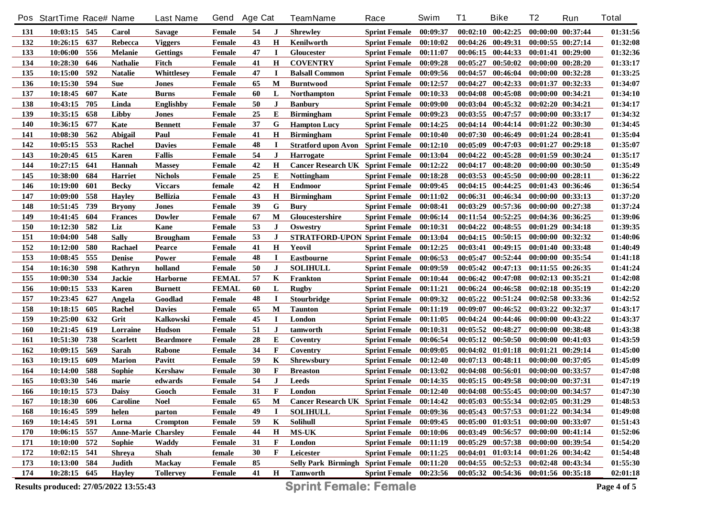|     | Pos StartTime Race# Name |     |                                       | <b>Last Name</b> | Gend          | <b>Age Cat</b> |              | <b>TeamName</b>                           | Race                   | Swim     | T1       | <b>Bike</b>                         | T <sub>2</sub>        | Run               | <b>Total</b> |
|-----|--------------------------|-----|---------------------------------------|------------------|---------------|----------------|--------------|-------------------------------------------|------------------------|----------|----------|-------------------------------------|-----------------------|-------------------|--------------|
| 131 | 10:03:15 545             |     | Carol                                 | <b>Savage</b>    | Female        | 54             | J            | <b>Shrewley</b>                           | Sprint Female 00:09:37 |          |          | $00:02:10$ $00:42:25$               | 00:00:00 00:37:44     |                   | 01:31:56     |
| 132 | 10:26:15                 | 637 | Rebecca                               | <b>Viggers</b>   | Female        | 43             | H            | Kenilworth                                | Sprint Female 00:10:02 |          |          | $00:04:26$ $00:49:31$               | $00:00:55$ $00:27:14$ |                   | 01:32:08     |
| 133 | 10:06:00                 | 556 | <b>Melanie</b>                        | <b>Gettings</b>  | Female        | 47             | $\bf{I}$     | Gloucester                                | Sprint Female 00:11:07 |          |          | 00:06:15 00:44:33                   | 00:01:41 00:29:00     |                   | 01:32:36     |
| 134 | 10:28:30                 | 646 | <b>Nathalie</b>                       | Fitch            | Female        | 41             | H            | <b>COVENTRY</b>                           | Sprint Female 00:09:28 |          | 00:05:27 | 00:50:02                            | $00:00:00$ $00:28:20$ |                   | 01:33:17     |
| 135 | 10:15:00                 | 592 | <b>Natalie</b>                        | Whittlesey       | Female        | 47             | I            | <b>Balsall Common</b>                     | Sprint Female 00:09:56 |          | 00:04:57 | 00:46:04                            |                       | 00:00:00 00:32:28 | 01:33:25     |
| 136 | 10:15:30                 | 594 | <b>Sue</b>                            | Jones            | Female        | 65             | M            | <b>Burntwood</b>                          | <b>Sprint Female</b>   | 00:12:57 | 00:04:27 | 00:42:33                            | 00:01:37 00:32:33     |                   | 01:34:07     |
| 137 | 10:18:45                 | 607 | Kate                                  | <b>Burns</b>     | Female        | 60             | L            | <b>Northampton</b>                        | <b>Sprint Female</b>   | 00:10:33 |          | $00:04:08$ $00:45:08$               | 00:00:00 00:34:21     |                   | 01:34:10     |
| 138 | 10:43:15                 | 705 | Linda                                 | <b>Englishby</b> | Female        | 50             | J            | <b>Banbury</b>                            | <b>Sprint Female</b>   | 00:09:00 |          | $00:03:04$ $00:45:32$               | 00:02:20 00:34:21     |                   | 01:34:17     |
| 139 | 10:35:15                 | 658 | Libby                                 | Jones            | Female        | 25             | E            | <b>Birmingham</b>                         | <b>Sprint Female</b>   | 00:09:23 |          | $00:03:55$ $00:47:57$               | 00:00:00 00:33:17     |                   | 01:34:32     |
| 140 | 10:36:15                 | 677 | Kate                                  | <b>Bennett</b>   | Female        | 37             | G            | <b>Hampton Lucy</b>                       | <b>Sprint Female</b>   | 00:14:25 |          | $00:04:14$ $00:44:14$               | 00:01:22 00:30:30     |                   | 01:34:45     |
| 141 | 10:08:30                 | 562 | Abigail                               | Paul             | Female        | 41             | Н            | <b>Birmingham</b>                         | <b>Sprint Female</b>   | 00:10:40 |          | $00:07:30$ $00:46:49$               | 00:01:24 00:28:41     |                   | 01:35:04     |
| 142 | 10:05:15                 | 553 | Rachel                                | <b>Davies</b>    | Female        | 48             | $\bf{I}$     | <b>Stratford upon Avon</b> Sprint Female  |                        | 00:12:10 |          | $00:05:09$ $00:47:03$               | 00:01:27 00:29:18     |                   | 01:35:07     |
| 143 | 10:20:45                 | 615 | Karen                                 | <b>Fallis</b>    | Female        | 54             | $\bf J$      | <b>Harrogate</b>                          | <b>Sprint Female</b>   | 00:13:04 |          | $00:04:22$ $00:45:28$               | 00:01:59 00:30:24     |                   | 01:35:17     |
| 144 | 10:27:15                 | 641 | Hannah                                | <b>Massey</b>    | Female        | 42             | H            | <b>Cancer Research UK Sprint Female</b>   |                        | 00:12:22 | 00:04:17 | 00:48:20                            | 00:00:00 00:30:50     |                   | 01:35:49     |
| 145 | 10:38:00                 | 684 | Harriet                               | <b>Nichols</b>   | Female        | 25             | E            | <b>Nottingham</b>                         | <b>Sprint Female</b>   | 00:18:28 |          | $00:03:53$ $00:45:50$               | 00:00:00 00:28:11     |                   | 01:36:22     |
| 146 | 10:19:00                 | 601 | <b>Becky</b>                          | <b>Viccars</b>   | female        | 42             | $\mathbf H$  | <b>Endmoor</b>                            | <b>Sprint Female</b>   | 00:09:45 |          | $00:04:15$ $00:44:25$               |                       | 00:01:43 00:36:46 | 01:36:54     |
| 147 | 10:09:00                 | 558 | <b>Hayley</b>                         | <b>Bellizia</b>  | Female        | 43             | H            | <b>Birmingham</b>                         | <b>Sprint Female</b>   | 00:11:02 |          | 00:06:31 00:46:34                   | 00:00:00 00:33:13     |                   | 01:37:20     |
| 148 | 10:51:45                 | 739 | <b>Bryony</b>                         | Jones            | Female        | 39             | G            | <b>Bury</b>                               | <b>Sprint Female</b>   | 00:08:41 |          | $00:03:29$ $00:57:36$               | 00:00:00 00:27:38     |                   | 01:37:24     |
| 149 | 10:41:45                 | 604 | <b>Frances</b>                        | <b>Dowler</b>    | Female        | 67             | M            | Gloucestershire                           | <b>Sprint Female</b>   | 00:06:14 |          | $00:11:54$ $00:52:25$               | 00:04:36 00:36:25     |                   | 01:39:06     |
| 150 | 10:12:30                 | 582 | Liz                                   | Kane             | Female        | 53             | J            | Oswestry                                  | <b>Sprint Female</b>   | 00:10:31 |          | 00:04:22 00:48:55                   | 00:01:29 00:34:18     |                   | 01:39:35     |
| 151 | 10:04:00                 | 548 | <b>Sally</b>                          | <b>Brougham</b>  | Female        | 53             | $\bf J$      | <b>STRATFORD-UPON Sprint Female</b>       |                        | 00:13:04 |          | $00:04:15$ $00:50:15$               | 00:00:00 00:32:32     |                   | 01:40:06     |
| 152 | 10:12:00                 | 580 | Rachael                               | Pearce           | Female        | 41             | Н            | Yeovil                                    | <b>Sprint Female</b>   | 00:12:25 |          | $00:03:41$ $00:49:15$               | 00:01:40 00:33:48     |                   | 01:40:49     |
| 153 | 10:08:45                 | 555 | <b>Denise</b>                         | Power            | Female        | 48             | $\bf{I}$     | <b>Eastbourne</b>                         | <b>Sprint Female</b>   | 00:06:53 |          | 00:05:47 00:52:44                   | 00:00:00 00:35:54     |                   | 01:41:18     |
| 154 | 10:16:30                 | 598 | Kathryn                               | holland          | Female        | 50             | $\bf J$      | <b>SOLIHULL</b>                           | <b>Sprint Female</b>   | 00:09:59 |          | $00:05:42$ $00:47:13$               | 00:11:55 00:26:35     |                   | 01:41:24     |
| 155 | 10:00:30                 | 534 | <b>Jackie</b>                         | Harborne         | <b>FEMAL</b>  | 57             | K            | Frankton                                  | <b>Sprint Female</b>   | 00:10:44 |          | 00:06:42 00:47:08                   | 00:02:13 00:35:21     |                   | 01:42:08     |
| 156 | 10:00:15                 | 533 | <b>Karen</b>                          | <b>Burnett</b>   | <b>FEMAL</b>  | 60             | L            | <b>Rugby</b>                              | <b>Sprint Female</b>   | 00:11:21 |          | 00:06:24 00:46:58                   | 00:02:18 00:35:19     |                   | 01:42:20     |
| 157 | 10:23:45                 | 627 | Angela                                | Goodlad          | Female        | 48             | $\bf{I}$     | <b>Stourbridge</b>                        | <b>Sprint Female</b>   | 00:09:32 |          | 00:05:22 00:51:24                   |                       | 00:02:58 00:33:36 | 01:42:52     |
| 158 | 10:18:15                 | 605 | Rachel                                | <b>Davies</b>    | Female        | 65             | M            | <b>Taunton</b>                            | <b>Sprint Female</b>   | 00:11:19 | 00:09:07 | 00:46:52                            | 00:03:22 00:32:37     |                   | 01:43:17     |
| 159 | 10:25:00                 | 632 | Grit                                  | Kalkowski        | Female        | 45             | <b>I</b>     | London                                    | <b>Sprint Female</b>   | 00:11:05 |          | $00:04:24$ $00:44:46$               | 00:00:00 00:43:22     |                   | 01:43:37     |
| 160 | 10:21:45                 | 619 | Lorraine                              | <b>Hudson</b>    | Female        | 51             | J            | tamworth                                  | <b>Sprint Female</b>   | 00:10:31 |          | 00:05:52 00:48:27                   |                       | 00:00:00 00:38:48 | 01:43:38     |
| 161 | 10:51:30                 | 738 | <b>Scarlett</b>                       | <b>Beardmore</b> | Female        | 28             | E            | Coventry                                  | <b>Sprint Female</b>   | 00:06:54 |          | $00:05:12$ $00:50:50$               |                       | 00:00:00 00:41:03 | 01:43:59     |
| 162 | 10:09:15                 | 569 | Sarah                                 | Rabone           | Female        | 34             | F            | Coventry                                  | <b>Sprint Female</b>   | 00:09:05 |          | $00:04:02$ $01:01:18$               | $00:01:21$ $00:29:14$ |                   | 01:45:00     |
| 163 | 10:19:15                 | 609 | <b>Marion</b>                         | Pavitt           | Female        | 59             | K            | <b>Shrewsbury</b>                         | <b>Sprint Female</b>   | 00:12:40 |          | $00:07:13$ $00:48:11$               |                       | 00:00:00 00:37:05 | 01:45:09     |
| 164 | 10:14:00                 | 588 | Sophie                                | <b>Kershaw</b>   | Female        | 30             | F            | <b>Breaston</b>                           | <b>Sprint Female</b>   | 00:13:02 |          | $00:04:08$ $00:56:01$               | 00:00:00 00:33:57     |                   | 01:47:08     |
| 165 | 10:03:30                 | 546 | marie                                 | edwards          | Female        | 54             | $\bf J$      | <b>Leeds</b>                              | <b>Sprint Female</b>   | 00:14:35 |          | $00:05:15$ $00:49:58$               | 00:00:00 00:37:31     |                   | 01:47:19     |
| 166 | 10:10:15                 | 573 | <b>Daisy</b>                          | Gooch            | Female        | 31             | F            | London                                    | <b>Sprint Female</b>   | 00:12:40 |          | $00:04:08$ $00:55:45$               | 00:00:00 00:34:57     |                   | 01:47:30     |
| 167 | 10:18:30 606             |     | Caroline                              | <b>Noel</b>      | Female        | 65             | M            | Cancer Research UK Sprint Female 00:14:42 |                        |          |          | 00:05:03 00:55:34 00:02:05 00:31:29 |                       |                   | 01:48:53     |
| 168 | 10:16:45 599             |     | helen                                 | parton           | Female        | 49             |              | <b>SOLIHULL</b>                           | <b>Sprint Female</b>   | 00:09:36 |          | $00:05:43$ $00:57:53$               | 00:01:22 00:34:34     |                   | 01:49:08     |
| 169 | 10:14:45 591             |     | Lorna                                 | Crompton         | Female        | 59             | Κ            | Solihull                                  | <b>Sprint Female</b>   | 00:09:45 |          | $00:05:00$ $01:03:51$               | 00:00:00 00:33:07     |                   | 01:51:43     |
| 170 | 10:06:15 557             |     | <b>Anne-Marie Charsley</b>            |                  | Female        | 44             | Н            | <b>MS-UK</b>                              | <b>Sprint Female</b>   | 00:10:06 |          | $00:03:49$ $00:56:57$               | 00:00:00 00:41:14     |                   | 01:52:06     |
| 171 | 10:10:00 572             |     | Sophie                                | Waddy            | Female        | 31             | F            | London                                    | <b>Sprint Female</b>   | 00:11:19 |          | $00:05:29$ $00:57:38$               | 00:00:00 00:39:54     |                   | 01:54:20     |
| 172 | 10:02:15                 | 541 | <b>Shreya</b>                         | Shah             | female        | 30             | F            | Leicester                                 | <b>Sprint Female</b>   | 00:11:25 |          | $00:04:01$ $01:03:14$               | 00:01:26 00:34:42     |                   | 01:54:48     |
| 173 | 10:13:00 584             |     | Judith                                | <b>Mackay</b>    | <b>Female</b> | 85             |              | <b>Selly Park Birmingh Sprint Female</b>  |                        | 00:11:20 |          | $00:04:55$ $00:52:53$               | 00:02:48 00:43:34     |                   | 01:55:30     |
| 174 | 10:28:15 645             |     | <b>Hayley</b>                         | <b>Tollervey</b> | <b>Female</b> | 41             | $\mathbf{H}$ | Tamworth                                  | Sprint Female 00:23:56 |          |          | 00:05:32 00:54:36 00:01:56 00:35:18 |                       |                   | 02:01:18     |
|     |                          |     | Results produced: 27/05/2022 13:55:43 |                  |               |                |              | <b>Sprint Female: Female</b>              |                        |          |          |                                     |                       |                   | Page 4 of 5  |